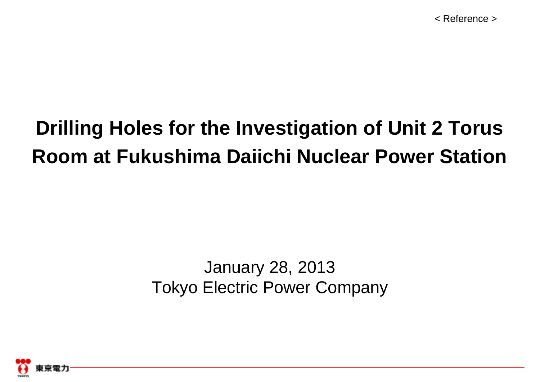# **Drilling Holes for the Investigation of Unit 2 Torus Room at Fukushima Daiichi Nuclear Power Station**

## January 28, 2013 Tokyo Electric Power Company

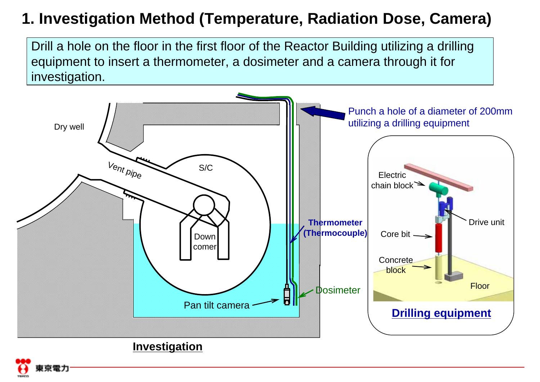### **1. Investigation Method (Temperature, Radiation Dose, Camera)**

Drill a hole on the floor in the first floor of the Reactor Building utilizing a drilling equipment to insert a thermometer, a dosimeter and a camera through it for investigation.

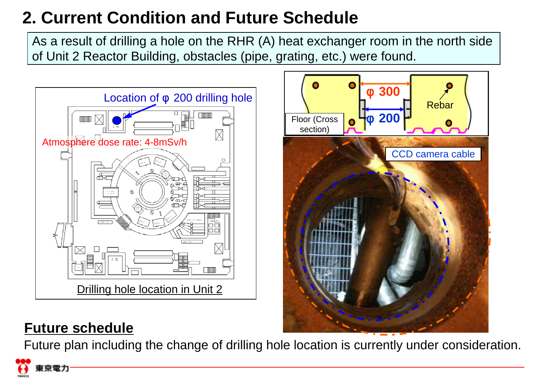## **2. Current Condition and Future Schedule**

As a result of drilling a hole on the RHR (A) heat exchanger room in the north side of Unit 2 Reactor Building, obstacles (pipe, grating, etc.) were found.





### **Future schedule**

Future plan including the change of drilling hole location is currently under consideration.

京雲力